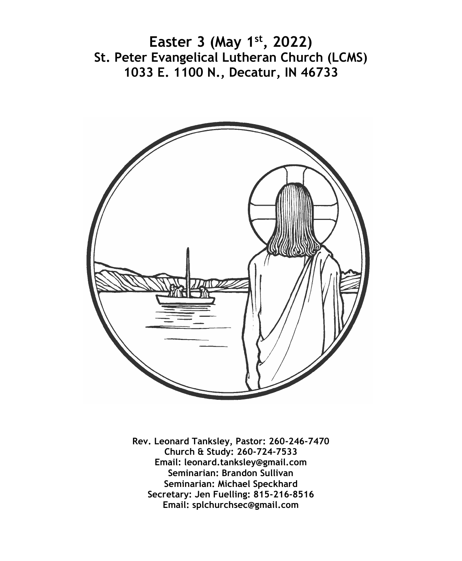**Easter 3 (May 1st, 2022) St. Peter Evangelical Lutheran Church (LCMS) 1033 E. 1100 N., Decatur, IN 46733**



**Rev. Leonard Tanksley, Pastor: 260-246-7470 Church & Study: 260-724-7533 Email: leonard.tanksley@gmail.com Seminarian: Brandon Sullivan Seminarian: Michael Speckhard Secretary: Jen Fuelling: 815-216-8516 Email: splchurchsec@gmail.com**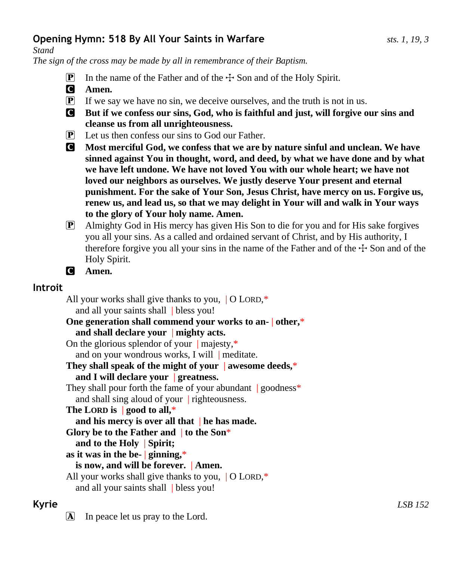# **Opening Hymn: 518 By All Your Saints in Warfare** *sts. 1, 19, 3*

*Stand*

*The sign of the cross may be made by all in remembrance of their Baptism.*

- **P** In the name of the Father and of the  $\pm$  Son and of the Holy Spirit.
- C **Amen.**
- $\mathbf{P}$  If we say we have no sin, we deceive ourselves, and the truth is not in us.
- C **But if we confess our sins, God, who is faithful and just, will forgive our sins and cleanse us from all unrighteousness.**
- P Let us then confess our sins to God our Father.
- C **Most merciful God, we confess that we are by nature sinful and unclean. We have sinned against You in thought, word, and deed, by what we have done and by what we have left undone. We have not loved You with our whole heart; we have not loved our neighbors as ourselves. We justly deserve Your present and eternal punishment. For the sake of Your Son, Jesus Christ, have mercy on us. Forgive us, renew us, and lead us, so that we may delight in Your will and walk in Your ways to the glory of Your holy name. Amen.**
- P Almighty God in His mercy has given His Son to die for you and for His sake forgives you all your sins. As a called and ordained servant of Christ, and by His authority, I therefore forgive you all your sins in the name of the Father and of the  $+$  Son and of the Holy Spirit.
- C **Amen.**

# **Introit**

All your works shall give thanks to you, | O LORD,\* and all your saints shall | bless you! **One generation shall commend your works to an-** | **other,**\* **and shall declare your** | **mighty acts.** On the glorious splendor of your  $\parallel$  majesty,\* and on your wondrous works, I will | meditate. **They shall speak of the might of your** | **awesome deeds,**\* **and I will declare your** | **greatness.** They shall pour forth the fame of your abundant  $|$  goodness\* and shall sing aloud of your | righteousness. **The LORD is** | **good to all,**\* **and his mercy is over all that** | **he has made. Glory be to the Father and** | **to the Son**\* **and to the Holy** | **Spirit; as it was in the be-** | **ginning,**\* **is now, and will be forever.** | **Amen.** All your works shall give thanks to you, | O LORD,\* and all your saints shall | bless you!

 $\Delta$  In peace let us pray to the Lord.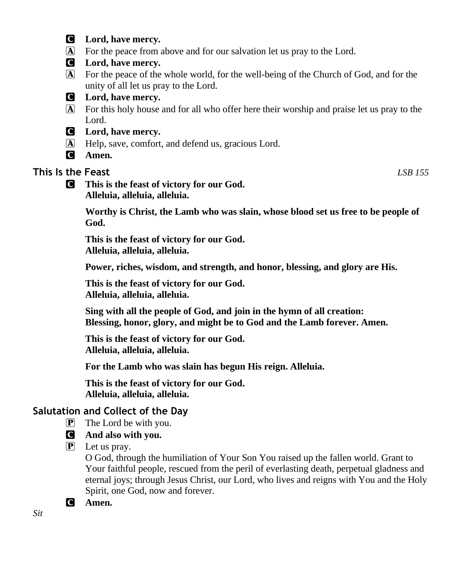- C **Lord, have mercy.**
- A For the peace from above and for our salvation let us pray to the Lord.
- C **Lord, have mercy.**
- A For the peace of the whole world, for the well-being of the Church of God, and for the unity of all let us pray to the Lord.



- A For this holy house and for all who offer here their worship and praise let us pray to the Lord.
- C **Lord, have mercy.**
- A Help, save, comfort, and defend us, gracious Lord.
- C **Amen.**

### **This Is the Feast** *LSB 155*

C **This is the feast of victory for our God. Alleluia, alleluia, alleluia.**

> **Worthy is Christ, the Lamb who was slain, whose blood set us free to be people of God.**

**This is the feast of victory for our God. Alleluia, alleluia, alleluia.**

**Power, riches, wisdom, and strength, and honor, blessing, and glory are His.**

**This is the feast of victory for our God. Alleluia, alleluia, alleluia.**

**Sing with all the people of God, and join in the hymn of all creation: Blessing, honor, glory, and might be to God and the Lamb forever. Amen.**

**This is the feast of victory for our God. Alleluia, alleluia, alleluia.**

**For the Lamb who was slain has begun His reign. Alleluia.**

**This is the feast of victory for our God. Alleluia, alleluia, alleluia.**

# **Salutation and Collect of the Day**

- $\boxed{\mathbf{P}}$  The Lord be with you.
- C **And also with you.**
- $\overline{P}$  Let us pray.

O God, through the humiliation of Your Son You raised up the fallen world. Grant to Your faithful people, rescued from the peril of everlasting death, perpetual gladness and eternal joys; through Jesus Christ, our Lord, who lives and reigns with You and the Holy Spirit, one God, now and forever.

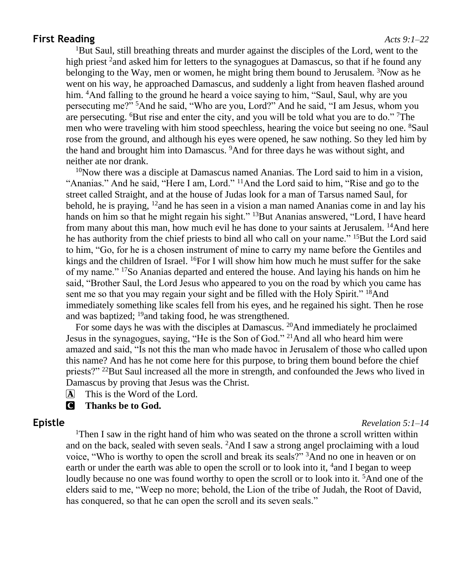#### **First Reading** *Acts 9:1–22*

<sup>1</sup>But Saul, still breathing threats and murder against the disciples of the Lord, went to the high priest  $^2$  and asked him for letters to the synagogues at Damascus, so that if he found any belonging to the Way, men or women, he might bring them bound to Jerusalem.  ${}^{3}$ Now as he went on his way, he approached Damascus, and suddenly a light from heaven flashed around him. <sup>4</sup>And falling to the ground he heard a voice saying to him, "Saul, Saul, why are you persecuting me?" <sup>5</sup>And he said, "Who are you, Lord?" And he said, "I am Jesus, whom you are persecuting. <sup>6</sup>But rise and enter the city, and you will be told what you are to do." <sup>7</sup>The men who were traveling with him stood speechless, hearing the voice but seeing no one. <sup>8</sup>Saul rose from the ground, and although his eyes were opened, he saw nothing. So they led him by the hand and brought him into Damascus. <sup>9</sup>And for three days he was without sight, and neither ate nor drank.

 $10$ Now there was a disciple at Damascus named Ananias. The Lord said to him in a vision, "Ananias." And he said, "Here I am, Lord." <sup>11</sup>And the Lord said to him, "Rise and go to the street called Straight, and at the house of Judas look for a man of Tarsus named Saul, for behold, he is praying,  $12$  and he has seen in a vision a man named Ananias come in and lay his hands on him so that he might regain his sight." <sup>13</sup>But Ananias answered, "Lord, I have heard from many about this man, how much evil he has done to your saints at Jerusalem. <sup>14</sup>And here he has authority from the chief priests to bind all who call on your name." <sup>15</sup>But the Lord said to him, "Go, for he is a chosen instrument of mine to carry my name before the Gentiles and kings and the children of Israel.  $^{16}$ For I will show him how much he must suffer for the sake of my name." <sup>17</sup>So Ananias departed and entered the house. And laying his hands on him he said, "Brother Saul, the Lord Jesus who appeared to you on the road by which you came has sent me so that you may regain your sight and be filled with the Holy Spirit." <sup>18</sup>And immediately something like scales fell from his eyes, and he regained his sight. Then he rose and was baptized; <sup>19</sup>and taking food, he was strengthened.

For some days he was with the disciples at Damascus. <sup>20</sup>And immediately he proclaimed Jesus in the synagogues, saying, "He is the Son of God." <sup>21</sup>And all who heard him were amazed and said, "Is not this the man who made havoc in Jerusalem of those who called upon this name? And has he not come here for this purpose, to bring them bound before the chief priests?" <sup>22</sup>But Saul increased all the more in strength, and confounded the Jews who lived in Damascus by proving that Jesus was the Christ.

 $\overline{A}$  This is the Word of the Lord.

C **Thanks be to God.**

#### **Epistle** *Revelation 5:1–14*

<sup>1</sup>Then I saw in the right hand of him who was seated on the throne a scroll written within and on the back, sealed with seven seals. <sup>2</sup>And I saw a strong angel proclaiming with a loud voice, "Who is worthy to open the scroll and break its seals?" <sup>3</sup>And no one in heaven or on earth or under the earth was able to open the scroll or to look into it, <sup>4</sup>and I began to weep loudly because no one was found worthy to open the scroll or to look into it. <sup>5</sup>And one of the elders said to me, "Weep no more; behold, the Lion of the tribe of Judah, the Root of David, has conquered, so that he can open the scroll and its seven seals."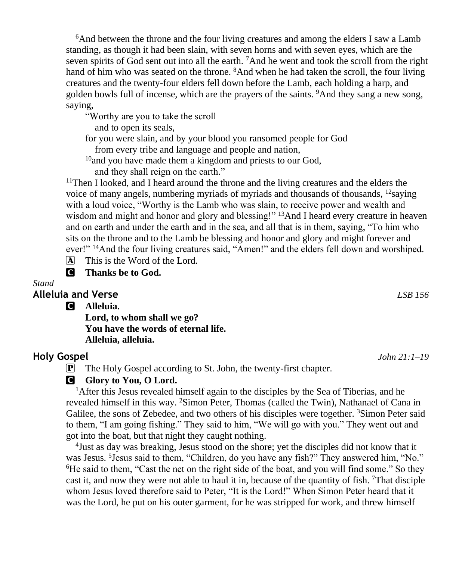<sup>6</sup>And between the throne and the four living creatures and among the elders I saw a Lamb standing, as though it had been slain, with seven horns and with seven eyes, which are the seven spirits of God sent out into all the earth.  ${}^{7}$ And he went and took the scroll from the right hand of him who was seated on the throne. <sup>8</sup>And when he had taken the scroll, the four living creatures and the twenty-four elders fell down before the Lamb, each holding a harp, and golden bowls full of incense, which are the prayers of the saints. <sup>9</sup>And they sang a new song, saying,

"Worthy are you to take the scroll

and to open its seals,

for you were slain, and by your blood you ransomed people for God

from every tribe and language and people and nation,

<sup>10</sup>and you have made them a kingdom and priests to our God,

and they shall reign on the earth."

<sup>11</sup>Then I looked, and I heard around the throne and the living creatures and the elders the voice of many angels, numbering myriads of myriads and thousands of thousands,  $^{12}$ saying with a loud voice, "Worthy is the Lamb who was slain, to receive power and wealth and wisdom and might and honor and glory and blessing!" <sup>13</sup>And I heard every creature in heaven and on earth and under the earth and in the sea, and all that is in them, saying, "To him who sits on the throne and to the Lamb be blessing and honor and glory and might forever and ever!" <sup>14</sup>And the four living creatures said, "Amen!" and the elders fell down and worshiped.

 $\overline{A}$  This is the Word of the Lord.

C **Thanks be to God.**

#### *Stand*

#### **Alleluia and Verse** *LSB 156*

C **Alleluia.**

**Lord, to whom shall we go? You have the words of eternal life. Alleluia, alleluia.**

#### **Holy Gospel** *John 21:1–19*

P The Holy Gospel according to St. John, the twenty-first chapter.

#### **G** Glory to You, O Lord.

<sup>1</sup>After this Jesus revealed himself again to the disciples by the Sea of Tiberias, and he revealed himself in this way. <sup>2</sup>Simon Peter, Thomas (called the Twin), Nathanael of Cana in Galilee, the sons of Zebedee, and two others of his disciples were together. <sup>3</sup>Simon Peter said to them, "I am going fishing." They said to him, "We will go with you." They went out and got into the boat, but that night they caught nothing.

4 Just as day was breaking, Jesus stood on the shore; yet the disciples did not know that it was Jesus. <sup>5</sup> Jesus said to them, "Children, do you have any fish?" They answered him, "No." <sup>6</sup>He said to them, "Cast the net on the right side of the boat, and you will find some." So they cast it, and now they were not able to haul it in, because of the quantity of fish. <sup>7</sup>That disciple whom Jesus loved therefore said to Peter, "It is the Lord!" When Simon Peter heard that it was the Lord, he put on his outer garment, for he was stripped for work, and threw himself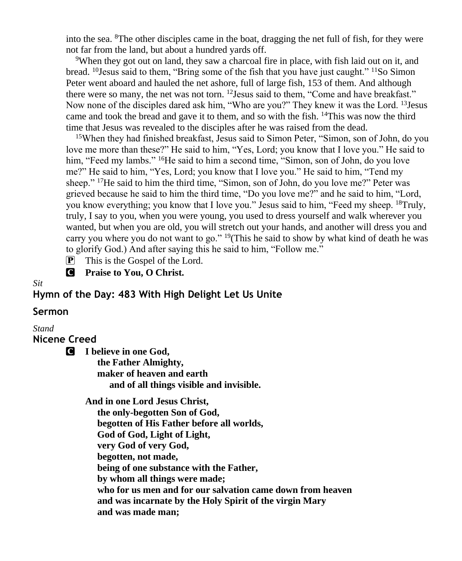into the sea. <sup>8</sup>The other disciples came in the boat, dragging the net full of fish, for they were not far from the land, but about a hundred yards off.

<sup>9</sup>When they got out on land, they saw a charcoal fire in place, with fish laid out on it, and bread. <sup>10</sup>Jesus said to them, "Bring some of the fish that you have just caught." <sup>11</sup>So Simon Peter went aboard and hauled the net ashore, full of large fish, 153 of them. And although there were so many, the net was not torn.  $12$  Jesus said to them, "Come and have breakfast." Now none of the disciples dared ask him, "Who are you?" They knew it was the Lord. <sup>13</sup>Jesus came and took the bread and gave it to them, and so with the fish.  $14$ This was now the third time that Jesus was revealed to the disciples after he was raised from the dead.

<sup>15</sup>When they had finished breakfast, Jesus said to Simon Peter, "Simon, son of John, do you love me more than these?" He said to him, "Yes, Lord; you know that I love you." He said to him, "Feed my lambs." <sup>16</sup>He said to him a second time, "Simon, son of John, do you love me?" He said to him, "Yes, Lord; you know that I love you." He said to him, "Tend my sheep." <sup>17</sup>He said to him the third time, "Simon, son of John, do you love me?" Peter was grieved because he said to him the third time, "Do you love me?" and he said to him, "Lord, you know everything; you know that I love you." Jesus said to him, "Feed my sheep. <sup>18</sup>Truly, truly, I say to you, when you were young, you used to dress yourself and walk wherever you wanted, but when you are old, you will stretch out your hands, and another will dress you and carry you where you do not want to go." <sup>19</sup>(This he said to show by what kind of death he was to glorify God.) And after saying this he said to him, "Follow me."

 $\mathbf{P}$  This is the Gospel of the Lord.

C **Praise to You, O Christ.**

*Sit*

#### **Hymn of the Day: 483 With High Delight Let Us Unite**

#### **Sermon**

#### *Stand*

**Nicene Creed**

C **I believe in one God,**

 **the Father Almighty, maker of heaven and earth and of all things visible and invisible.**

**And in one Lord Jesus Christ,**

 **the only-begotten Son of God, begotten of His Father before all worlds, God of God, Light of Light, very God of very God, begotten, not made, being of one substance with the Father, by whom all things were made; who for us men and for our salvation came down from heaven and was incarnate by the Holy Spirit of the virgin Mary and was made man;**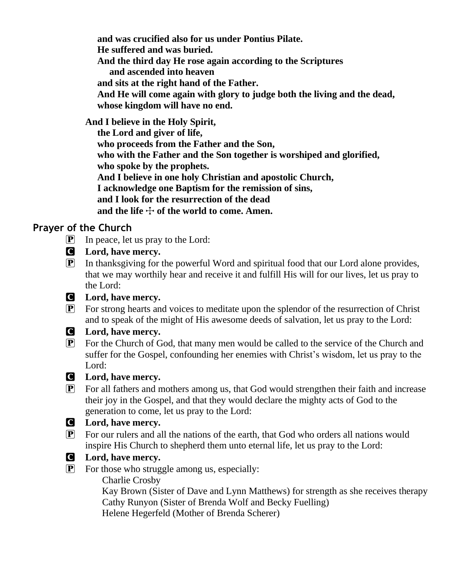**and was crucified also for us under Pontius Pilate. He suffered and was buried. And the third day He rose again according to the Scriptures and ascended into heaven and sits at the right hand of the Father. And He will come again with glory to judge both the living and the dead, whose kingdom will have no end.**

**And I believe in the Holy Spirit,**

 **the Lord and giver of life, who proceeds from the Father and the Son, who with the Father and the Son together is worshiped and glorified, who spoke by the prophets. And I believe in one holy Christian and apostolic Church, I acknowledge one Baptism for the remission of sins, and I look for the resurrection of the dead** and the life  $\div$  of the world to come. Amen.

# **Prayer of the Church**

- $\mathbf{P}$  In peace, let us pray to the Lord:
- C **Lord, have mercy.**
- P In thanksgiving for the powerful Word and spiritual food that our Lord alone provides, that we may worthily hear and receive it and fulfill His will for our lives, let us pray to the Lord:

# C **Lord, have mercy.**

P For strong hearts and voices to meditate upon the splendor of the resurrection of Christ and to speak of the might of His awesome deeds of salvation, let us pray to the Lord:

# C **Lord, have mercy.**

P For the Church of God, that many men would be called to the service of the Church and suffer for the Gospel, confounding her enemies with Christ's wisdom, let us pray to the Lord:

#### C **Lord, have mercy.**

P For all fathers and mothers among us, that God would strengthen their faith and increase their joy in the Gospel, and that they would declare the mighty acts of God to the generation to come, let us pray to the Lord:

# C **Lord, have mercy.**

- P For our rulers and all the nations of the earth, that God who orders all nations would inspire His Church to shepherd them unto eternal life, let us pray to the Lord:
- 

# C **Lord, have mercy.**

P For those who struggle among us, especially:

Charlie Crosby

 Kay Brown (Sister of Dave and Lynn Matthews) for strength as she receives therapy Cathy Runyon (Sister of Brenda Wolf and Becky Fuelling) Helene Hegerfeld (Mother of Brenda Scherer)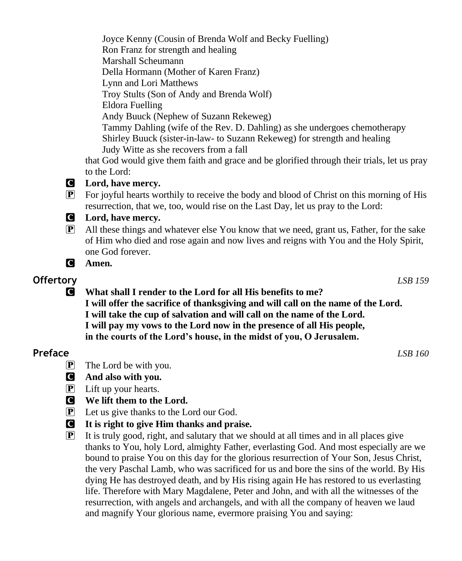Joyce Kenny (Cousin of Brenda Wolf and Becky Fuelling) Ron Franz for strength and healing Marshall Scheumann Della Hormann (Mother of Karen Franz) Lynn and Lori Matthews Troy Stults (Son of Andy and Brenda Wolf) Eldora Fuelling Andy Buuck (Nephew of Suzann Rekeweg) Tammy Dahling (wife of the Rev. D. Dahling) as she undergoes chemotherapy Shirley Buuck (sister-in-law- to Suzann Rekeweg) for strength and healing Judy Witte as she recovers from a fall

that God would give them faith and grace and be glorified through their trials, let us pray to the Lord:

### C **Lord, have mercy.**

P For joyful hearts worthily to receive the body and blood of Christ on this morning of His resurrection, that we, too, would rise on the Last Day, let us pray to the Lord:

### C **Lord, have mercy.**

- P All these things and whatever else You know that we need, grant us, Father, for the sake of Him who died and rose again and now lives and reigns with You and the Holy Spirit, one God forever.
- C **Amen.**

# **Offertory** *LSB 159*

C **What shall I render to the Lord for all His benefits to me? I will offer the sacrifice of thanksgiving and will call on the name of the Lord. I will take the cup of salvation and will call on the name of the Lord. I will pay my vows to the Lord now in the presence of all His people, in the courts of the Lord's house, in the midst of you, O Jerusalem.**

# **Preface** *LSB 160*

- $\left| \mathbf{P} \right|$  The Lord be with you.
- C **And also with you.**
- $\left| \mathbf{P} \right|$  Lift up your hearts.
- C **We lift them to the Lord.**
- P Let us give thanks to the Lord our God.
- C **It is right to give Him thanks and praise.**
- $\mathbf{P}$  It is truly good, right, and salutary that we should at all times and in all places give thanks to You, holy Lord, almighty Father, everlasting God. And most especially are we bound to praise You on this day for the glorious resurrection of Your Son, Jesus Christ, the very Paschal Lamb, who was sacrificed for us and bore the sins of the world. By His dying He has destroyed death, and by His rising again He has restored to us everlasting life. Therefore with Mary Magdalene, Peter and John, and with all the witnesses of the resurrection, with angels and archangels, and with all the company of heaven we laud and magnify Your glorious name, evermore praising You and saying: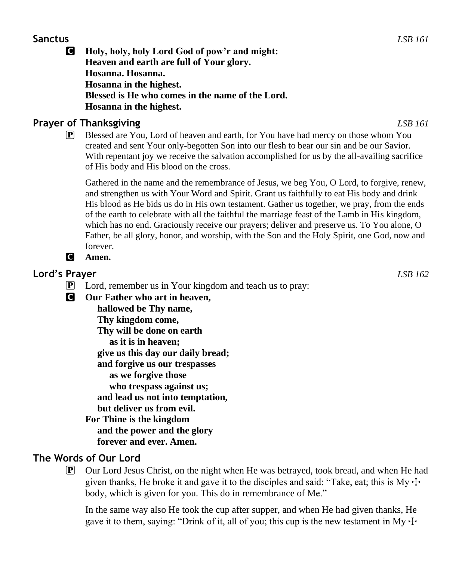#### **Sanctus** *LSB 161*

C **Holy, holy, holy Lord God of pow'r and might: Heaven and earth are full of Your glory. Hosanna. Hosanna. Hosanna in the highest. Blessed is He who comes in the name of the Lord. Hosanna in the highest.**

# **Prayer of Thanksgiving** *LSB 161*

P Blessed are You, Lord of heaven and earth, for You have had mercy on those whom You created and sent Your only-begotten Son into our flesh to bear our sin and be our Savior. With repentant joy we receive the salvation accomplished for us by the all-availing sacrifice of His body and His blood on the cross.

Gathered in the name and the remembrance of Jesus, we beg You, O Lord, to forgive, renew, and strengthen us with Your Word and Spirit. Grant us faithfully to eat His body and drink His blood as He bids us do in His own testament. Gather us together, we pray, from the ends of the earth to celebrate with all the faithful the marriage feast of the Lamb in His kingdom, which has no end. Graciously receive our prayers; deliver and preserve us. To You alone, O Father, be all glory, honor, and worship, with the Son and the Holy Spirit, one God, now and forever.

C **Amen.**

# **Lord's Prayer** *LSB 162*

- $\mathbf{P}$  Lord, remember us in Your kingdom and teach us to pray:
- C **Our Father who art in heaven,**

 **hallowed be Thy name, Thy kingdom come, Thy will be done on earth as it is in heaven; give us this day our daily bread; and forgive us our trespasses as we forgive those who trespass against us; and lead us not into temptation, but deliver us from evil. For Thine is the kingdom**

 **and the power and the glory forever and ever. Amen.**

# **The Words of Our Lord**

 $\boxed{\mathbf{P}}$  Our Lord Jesus Christ, on the night when He was betrayed, took bread, and when He had given thanks, He broke it and gave it to the disciples and said: "Take, eat; this is My  $\pm$ body, which is given for you. This do in remembrance of Me."

In the same way also He took the cup after supper, and when He had given thanks, He gave it to them, saying: "Drink of it, all of you; this cup is the new testament in My  $\pm$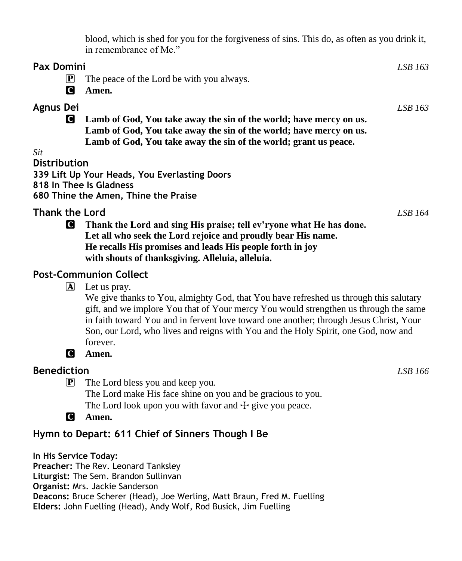blood, which is shed for you for the forgiveness of sins. This do, as often as you drink it, in remembrance of Me."

| <b>Pax Domini</b>                                                              |                                                                    | LSB 163 |
|--------------------------------------------------------------------------------|--------------------------------------------------------------------|---------|
| $ \mathbf{P} $                                                                 | The peace of the Lord be with you always.                          |         |
| IC I                                                                           | Amen.                                                              |         |
| <b>Agnus Dei</b>                                                               |                                                                    | LSB 163 |
| Lamb of God, You take away the sin of the world; have mercy on us.<br><b>C</b> |                                                                    |         |
|                                                                                | Lamb of God, You take away the sin of the world; have mercy on us. |         |
|                                                                                | Lamb of God, You take away the sin of the world; grant us peace.   |         |
| Sit                                                                            |                                                                    |         |
| <b>Distribution</b>                                                            |                                                                    |         |
|                                                                                | 339 Lift Up Your Heads, You Everlasting Doors                      |         |
|                                                                                | 818 In Thee Is Gladness                                            |         |
|                                                                                | 680 Thine the Amen, Thine the Praise                               |         |
| <b>Thank the Lord</b>                                                          |                                                                    | LSB 164 |
|                                                                                |                                                                    |         |

C **Thank the Lord and sing His praise; tell ev'ryone what He has done. Let all who seek the Lord rejoice and proudly bear His name. He recalls His promises and leads His people forth in joy with shouts of thanksgiving. Alleluia, alleluia.**

#### **Post-Communion Collect**

 $\mathbf{A}$  Let us pray.

We give thanks to You, almighty God, that You have refreshed us through this salutary gift, and we implore You that of Your mercy You would strengthen us through the same in faith toward You and in fervent love toward one another; through Jesus Christ, Your Son, our Lord, who lives and reigns with You and the Holy Spirit, one God, now and forever.

C **Amen.**

# **Benediction** *LSB 166*

P The Lord bless you and keep you.

The Lord make His face shine on you and be gracious to you. The Lord look upon you with favor and  $+$  give you peace.

C **Amen.**

# **Hymn to Depart: 611 Chief of Sinners Though I Be**

**In His Service Today: Preacher:** The Rev. Leonard Tanksley **Liturgist:** The Sem. Brandon Sullinvan **Organist:** Mrs. Jackie Sanderson **Deacons:** Bruce Scherer (Head), Joe Werling, Matt Braun, Fred M. Fuelling **Elders:** John Fuelling (Head), Andy Wolf, Rod Busick, Jim Fuelling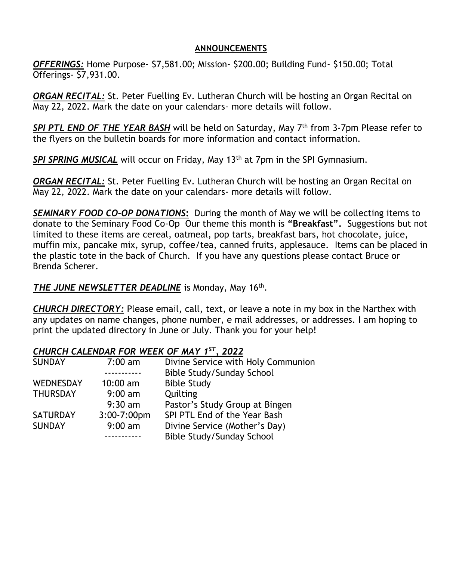#### **ANNOUNCEMENTS**

*OFFERINGS:* Home Purpose- \$7,581.00; Mission- \$200.00; Building Fund- \$150.00; Total Offerings- \$7,931.00.

*ORGAN RECITAL:* St. Peter Fuelling Ev. Lutheran Church will be hosting an Organ Recital on May 22, 2022. Mark the date on your calendars- more details will follow.

*SPI PTL END OF THE YEAR BASH* will be held on Saturday, May 7th from 3-7pm Please refer to the flyers on the bulletin boards for more information and contact information.

*SPI SPRING MUSICAL* will occur on Friday, May 13th at 7pm in the SPI Gymnasium.

*ORGAN RECITAL:* St. Peter Fuelling Ev. Lutheran Church will be hosting an Organ Recital on May 22, 2022. Mark the date on your calendars- more details will follow.

*SEMINARY FOOD CO-OP DONATIONS***:** During the month of May we will be collecting items to donate to the Seminary Food Co-Op Our theme this month is **"Breakfast".** Suggestions but not limited to these items are cereal, oatmeal, pop tarts, breakfast bars, hot chocolate, juice, muffin mix, pancake mix, syrup, coffee/tea, canned fruits, applesauce. Items can be placed in the plastic tote in the back of Church. If you have any questions please contact Bruce or Brenda Scherer.

#### THE JUNE NEWSLETTER DEADLINE is Monday, May 16<sup>th</sup>.

*CHURCH DIRECTORY:* Please email, call, text, or leave a note in my box in the Narthex with any updates on name changes, phone number, e mail addresses, or addresses. I am hoping to print the updated directory in June or July. Thank you for your help!

#### *CHURCH CALENDAR FOR WEEK OF MAY 1ST, 2022*

| <b>SUNDAY</b>    | $7:00 \text{ am}$ | Divine Service with Holy Communion |
|------------------|-------------------|------------------------------------|
|                  |                   | Bible Study/Sunday School          |
| <b>WEDNESDAY</b> | $10:00$ am        | <b>Bible Study</b>                 |
| <b>THURSDAY</b>  | $9:00 \text{ am}$ | Quilting                           |
|                  | $9:30$ am         | Pastor's Study Group at Bingen     |
| <b>SATURDAY</b>  | 3:00-7:00pm       | SPI PTL End of the Year Bash       |
| <b>SUNDAY</b>    | $9:00$ am         | Divine Service (Mother's Day)      |
|                  |                   | Bible Study/Sunday School          |